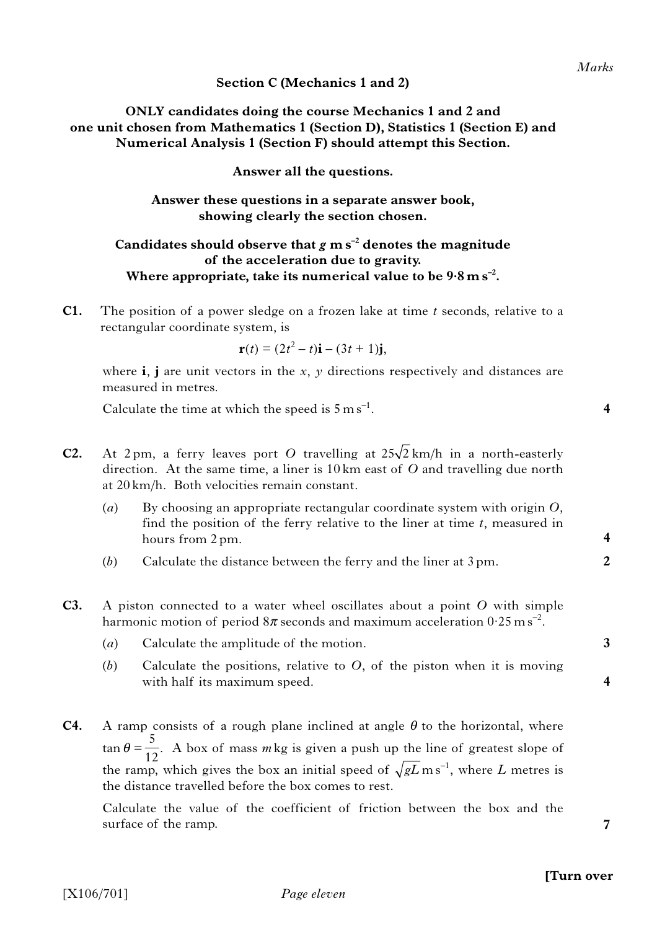**Section C (Mechanics 1 and 2)**

**ONLY candidates doing the course Mechanics 1 and 2 and one unit chosen from Mathematics 1 (Section D), Statistics 1 (Section E) and Numerical Analysis 1 (Section F) should attempt this Section.**

**Answer all the questions.**

### **Answer these questions in a separate answer book, showing clearly the section chosen.**

# Candidates should observe that  $g$  m s<sup>-2</sup> denotes the magnitude **of the acceleration due to gravity.** Where appropriate, take its numerical value to be  $9.8 \text{ m s}^{-2}$ .

**C1.** The position of a power sledge on a frozen lake at time *t* seconds, relative to a rectangular coordinate system, is

$$
\mathbf{r}(t) = (2t^2 - t)\mathbf{i} - (3t + 1)\mathbf{j},
$$

where **i**, **j** are unit vectors in the *x*, *y* directions respectively and distances are measured in metres.

Calculate the time at which the speed is  $5 \text{ m s}^{-1}$ .

- **C2.** At 2 pm, a ferry leaves port O travelling at  $25\sqrt{2}$  km/h in a north-easterly direction. At the same time, a liner is 10 km east of *O* and travelling due north at 20 km/h. Both velocities remain constant.
	- (*a*) By choosing an appropriate rectangular coordinate system with origin *O*, find the position of the ferry relative to the liner at time *t*, measured in hours from 2 pm.
	- (*b*) Calculate the distance between the ferry and the liner at 3 pm.
- **C3.** A piston connected to a water wheel oscillates about a point *O* with simple harmonic motion of period  $8\pi$  seconds and maximum acceleration  $0.25 \text{ m s}^{-2}$ .
	- (*a*) Calculate the amplitude of the motion.
	- (*b*) Calculate the positions, relative to *O*, of the piston when it is moving with half its maximum speed.
- **C4.** A ramp consists of a rough plane inclined at angle  $\theta$  to the horizontal, where  $\tan \theta = \frac{1}{42}$ . A box of mass *m* kg is given a push up the line of greatest slope of the ramp, which gives the box an initial speed of  $\sqrt{gL}$  ms<sup>-1</sup>, where *L* metres is the distance travelled before the box comes to rest. 5 12

Calculate the value of the coefficient of friction between the box and the surface of the ramp.

**4**

**2**

**4**

**4**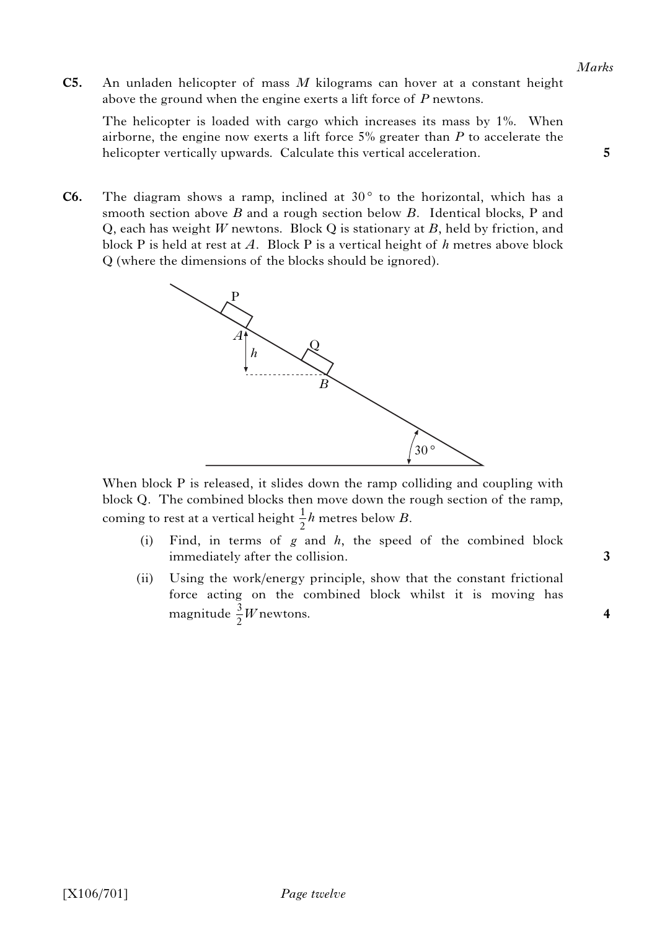*Marks*

**5**

**C5.** An unladen helicopter of mass *M* kilograms can hover at a constant height above the ground when the engine exerts a lift force of *P* newtons.

The helicopter is loaded with cargo which increases its mass by 1%. When airborne, the engine now exerts a lift force 5% greater than *P* to accelerate the helicopter vertically upwards. Calculate this vertical acceleration.

**C6.** The diagram shows a ramp, inclined at  $30^\circ$  to the horizontal, which has a smooth section above *B* and a rough section below *B*. Identical blocks, P and Q, each has weight *W* newtons. Block Q is stationary at *B*, held by friction, and block P is held at rest at *A*. Block P is a vertical height of *h* metres above block Q (where the dimensions of the blocks should be ignored).



When block P is released, it slides down the ramp colliding and coupling with block Q. The combined blocks then move down the rough section of the ramp, coming to rest at a vertical height  $\frac{1}{2}h$  metres below *B*.  $\frac{1}{2}h$ 

- (i) Find, in terms of *g* and *h*, the speed of the combined block immediately after the collision.
- (ii) Using the work/energy principle, show that the constant frictional force acting on the combined block whilst it is moving has magnitude  $\frac{3}{2}W$ newtons.  $\frac{3}{2}W$

**3**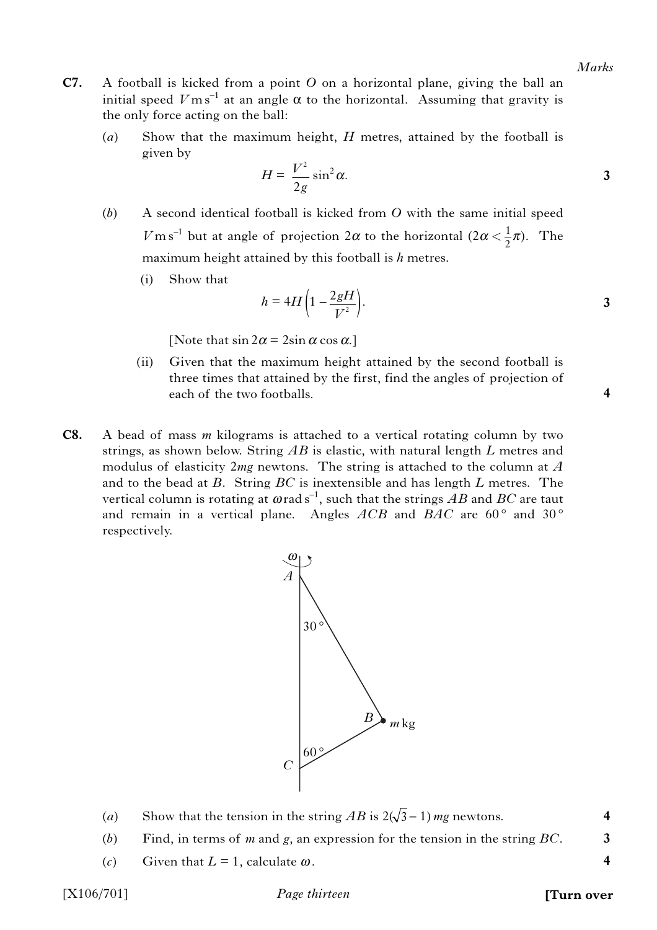- **C7.** A football is kicked from a point *O* on a horizontal plane, giving the ball an initial speed  $V \text{m s}^{-1}$  at an angle  $\alpha$  to the horizontal. Assuming that gravity is the only force acting on the ball:
	- (*a*) Show that the maximum height, *H* metres, attained by the football is given by

$$
H = \frac{V^2}{2g} \sin^2 \alpha.
$$

- (*b*) A second identical football is kicked from *O* with the same initial speed *V* m s<sup>-1</sup> but at angle of projection  $2\alpha$  to the horizontal  $(2\alpha < \frac{1}{2}\pi)$ . The maximum height attained by this football is *h* metres.
	- (i) Show that

$$
h = 4H\left(1 - \frac{2gH}{V^2}\right).
$$

[Note that  $\sin 2\alpha = 2\sin \alpha \cos \alpha$ .]

- (ii) Given that the maximum height attained by the second football is three times that attained by the first, find the angles of projection of each of the two footballs.
- **C8.** A bead of mass *m* kilograms is attached to a vertical rotating column by two strings, as shown below. String *AB* is elastic, with natural length *L* metres and modulus of elasticity 2*mg* newtons. The string is attached to the column at *A* and to the bead at *B*. String *BC* is inextensible and has length *L* metres. The vertical column is rotating at  $\omega$  rad s<sup>-1</sup>, such that the strings AB and BC are taut and remain in a vertical plane. Angles  $ACB$  and  $BAC$  are  $60^{\circ}$  and  $30^{\circ}$ respectively.



- (*a*) Show that the tension in the string  $AB$  is  $2(\sqrt{3}-1)$  *mg* newtons.
- (*b*) Find, in terms of *m* and *g*, an expression for the tension in the string *BC*.
- (*c*) Given that  $L = 1$ , calculate  $\omega$ .

*Page thirteen* [X106/701] **[Turn over**

**4**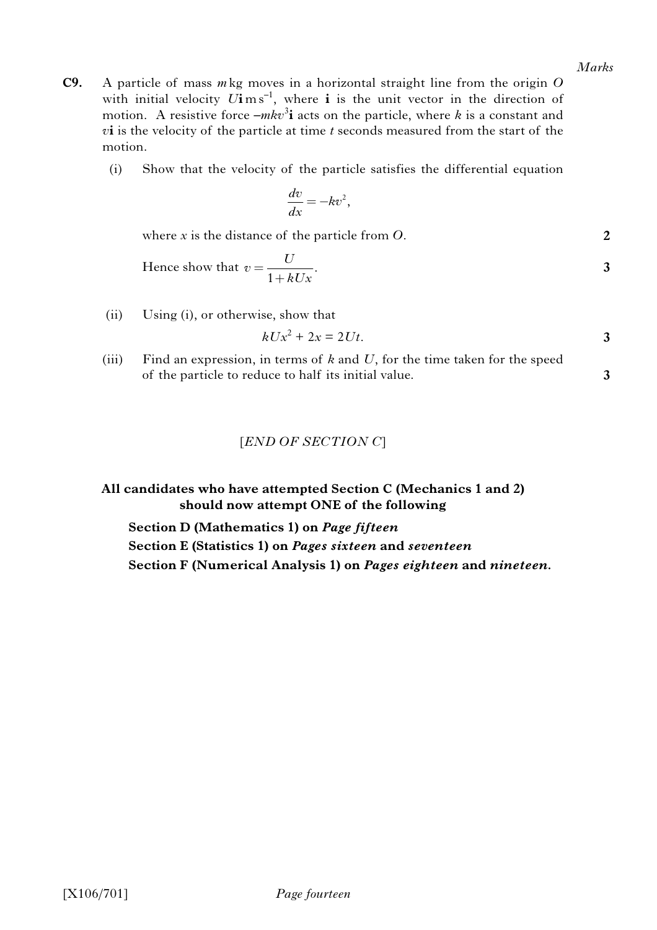**3**

- **C9.** A particle of mass *m* kg moves in a horizontal straight line from the origin *O* with initial velocity  $U\mathbf{i}$  m s<sup>-1</sup>, where  $\mathbf{i}$  is the unit vector in the direction of motion. A resistive force  $-mkv^3$ **i** acts on the particle, where *k* is a constant and *v***i** is the velocity of the particle at time *t* seconds measured from the start of the motion.
	- (i) Show that the velocity of the particle satisfies the differential equation

$$
\frac{dv}{dx} = -kv^2,
$$

where *x* is the distance of the particle from *O*.

Hence show that 
$$
v = \frac{U}{1 + kUx}
$$
.

(ii) Using (i), or otherwise, show that

$$
kUx^2 + 2x = 2Ut.
$$

(iii) Find an expression, in terms of *k* and *U*, for the time taken for the speed of the particle to reduce to half its initial value.

### [*END OF SECTION C*]

**All candidates who have attempted Section C (Mechanics 1 and 2) should now attempt ONE of the following**

**Section D (Mathematics 1) on** *Page fifteen*

**Section E (Statistics 1) on** *Pages sixteen* **and** *seventeen* **Section F (Numerical Analysis 1) on** *Pages eighteen* **and** *nineteen.*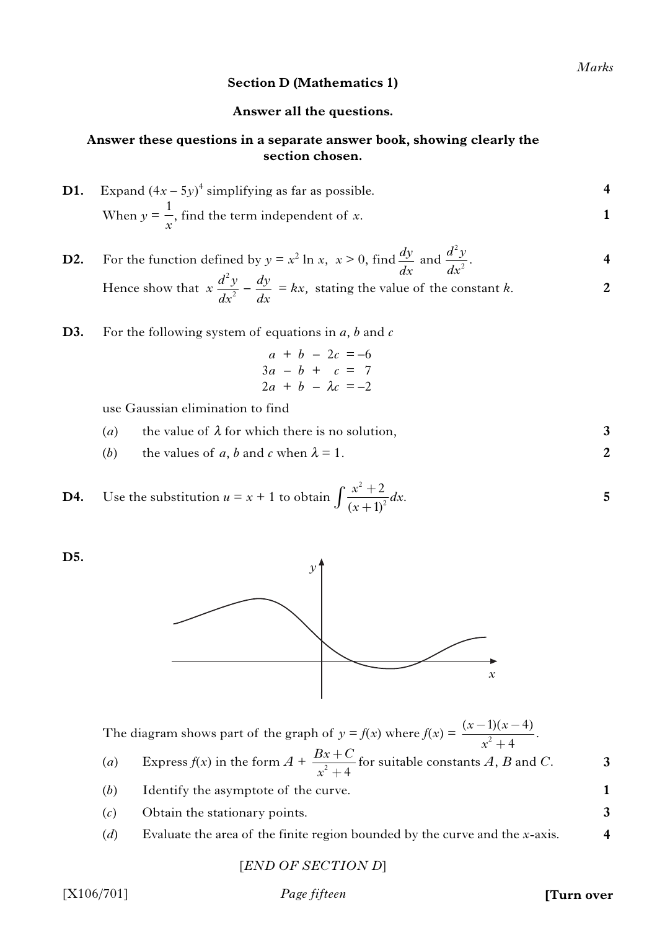**5**

**3**

**1 3 4**

### **Section D (Mathematics 1)**

#### **Answer all the questions.**

# **Answer these questions in a separate answer book, showing clearly the section chosen.**

| <b>D1.</b> Expand $(4x - 5y)^4$ simplifying as far as possible. |  |
|-----------------------------------------------------------------|--|
| When $y = \frac{1}{x}$ , find the term independent of x.        |  |

**4 2 D2.** For the function defined by  $y = x^2 \ln x$ ,  $x > 0$ , find  $\frac{dy}{dx}$  and  $\frac{d^2y}{dx^2}$ . Hence show that  $x \frac{dy}{dx} - \frac{dy}{dx} = kx$ , stating the value of the constant *k*. 2  $d^2y$ *dx dy*  $\frac{2}{x}$  dx 2  $d^2y$ *dx dy dx*

- **D3.** For the following system of equations in *a*, *b* and *c*
	- $a + b 2c = -6$  $3a - b + c = 7$  $2a + b - \lambda c = -2$

use Gaussian elimination to find

- **3** (*a*) the value of  $\lambda$  for which there is no solution,
- (*b*) the values of *a*, *b* and *c* when  $\lambda = 1$ .

**D4.** Use the substitution  $u = x + 1$  to obtain  $\int_{-\infty}^{x} \frac{u}{u^2} dx$ . 2 2 2  $(x+1)$  $\frac{x^2+2}{x^2}dx$ *x*  $\int \frac{x^2+}{(x+1)}$ 

**D5.**



The diagram shows part of the graph of  $y = f(x)$  where  $f(x) = \frac{(x-1)(x-1)}{x^2+4}$ .  $(x-1)(x-4)$ 4  $(x-1)(x)$ *x*  $-1)(x +$ 

- (*a*) Express  $f(x)$  in the form  $A + \frac{BA}{2}$  for suitable constants A, B and C.  $^{2}+4$  $Bx + C$ *x*  $+$  $+$
- (*b*) Identify the asymptote of the curve.
- (*c*) Obtain the stationary points.
- (*d*) Evaluate the area of the finite region bounded by the curve and the *x*-axis.

[*END OF SECTION D*]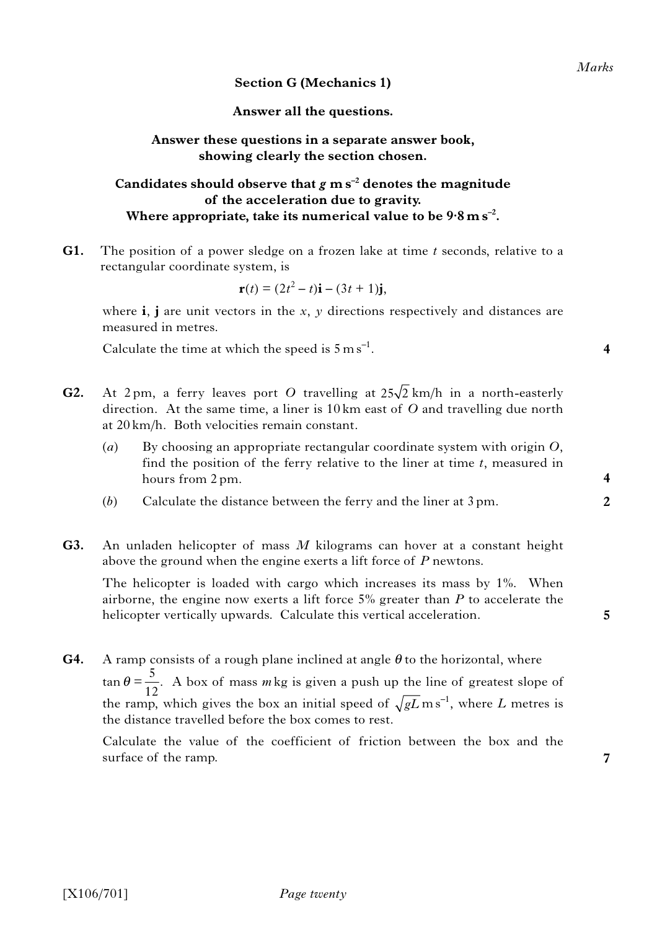# **Section G (Mechanics 1)**

# **Answer all the questions.**

#### **Answer these questions in a separate answer book, showing clearly the section chosen.**

# Candidates should observe that  $g$  m  $s^{-2}$  denotes the magnitude **of the acceleration due to gravity.** Where appropriate, take its numerical value to be  $9.8 \text{ m s}^{-2}$ .

**G1.** The position of a power sledge on a frozen lake at time *t* seconds, relative to a rectangular coordinate system, is

$$
\mathbf{r}(t) = (2t^2 - t)\mathbf{i} - (3t + 1)\mathbf{j},
$$

where **i**, **j** are unit vectors in the *x*, *y* directions respectively and distances are measured in metres.

Calculate the time at which the speed is  $5 \text{ m s}^{-1}$ .

- **G2.** At 2 pm, a ferry leaves port O travelling at  $25\sqrt{2}$  km/h in a north-easterly direction. At the same time, a liner is 10 km east of *O* and travelling due north at 20 km/h. Both velocities remain constant.
	- (*a*) By choosing an appropriate rectangular coordinate system with origin *O*, find the position of the ferry relative to the liner at time *t*, measured in hours from 2 pm.
	- (*b*) Calculate the distance between the ferry and the liner at 3 pm.
- **G3.** An unladen helicopter of mass *M* kilograms can hover at a constant height above the ground when the engine exerts a lift force of *P* newtons.

The helicopter is loaded with cargo which increases its mass by 1%. When airborne, the engine now exerts a lift force 5% greater than *P* to accelerate the helicopter vertically upwards. Calculate this vertical acceleration.

**G4.** A ramp consists of a rough plane inclined at angle  $\theta$  to the horizontal, where  $\tan \theta = \frac{5}{10}$ . A box of mass *m* kg is given a push up the line of greatest slope of the ramp, which gives the box an initial speed of  $\sqrt{gL}$  ms<sup>-1</sup>, where *L* metres is the distance travelled before the box comes to rest. 12

Calculate the value of the coefficient of friction between the box and the surface of the ramp.

**4**

**2**

**5**